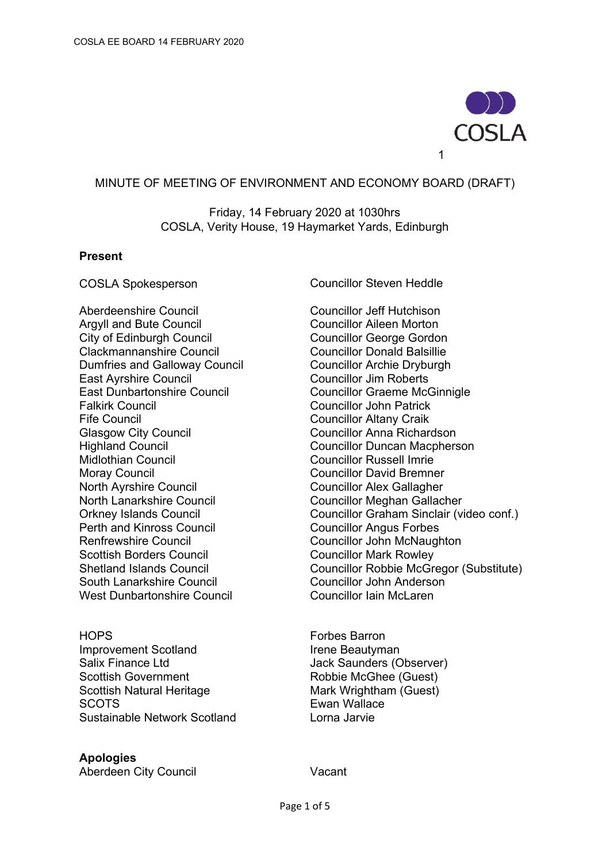

### MINUTE OF MEETING OF ENVIRONMENT AND ECONOMY BOARD (DRAFT)

Friday, 14 February 2020 at 1030hrs COSLA, Verity House, 19 Haymarket Yards, Edinburgh

#### **Present**

Aberdeenshire Council and Bute Council Councillor Jeff Hutchison<br>Aravil and Bute Council and Councillor Aileen Morton Argyll and Bute Council City of Edinburgh Council Councillor George Gordon Clackmannanshire Council Councillor Donald Balsillie Dumfries and Galloway Council Councillor Archie Dryburgh<br>
East Avrshire Council<br>
Councillor Jim Roberts East Dunbartonshire Council Councillor Graeme McGinnigle Falkirk Council **Councillor Councillor John Patrick** Fife Council **Council** Councillor Altany Craik Glasgow City Council **Councillor Anna Richardson** Highland Council Councillor Duncan Macpherson Midlothian Council Councillor Russell Imrie Moray Council **Council** Councillor David Bremner North Ayrshire Council **North Ayrshire Council** North Lanarkshire Council Councillor Meghan Gallacher Perth and Kinross Council **Councillor Angus Forbes** Renfrewshire Council Councillor John McNaughton Scottish Borders Council<br>
Shetland Islands Council<br>
Councillor Robbie McGre South Lanarkshire Council **Council** Councillor John Anderson West Dunbartonshire Council Council Councillor Iain McLaren

HOPS Forbes Barron Improvement Scotland Irene Beautyman Salix Finance Ltd Jack Saunders (Observer) Scottish Government Robbie McGhee (Guest) Scottish Natural Heritage Mark Wrightham (Guest) SCOTS Ewan Wallace Sustainable Network Scotland Lorna Jarvie

#### **Apologies**

Aberdeen City Council Vacant

COSLA Spokesperson Councillor Steven Heddle

Councillor Jim Roberts Orkney Islands Council Councillor Graham Sinclair (video conf.) Councillor Robbie McGregor (Substitute)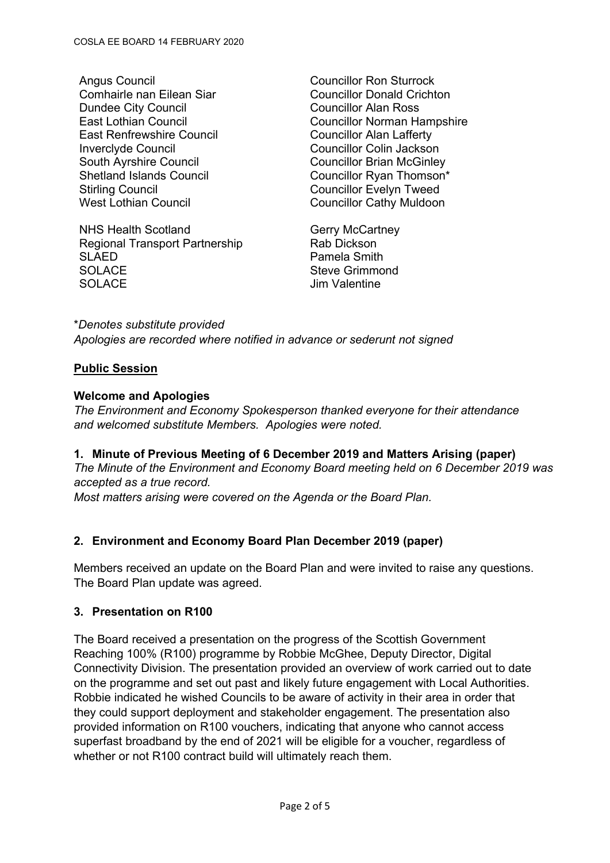Angus Council **Angus** Councillor Ron Sturrock Comhairle nan Eilean Siar Councillor Donald Crichton Dundee City Council **Council** Councillor Alan Ross East Renfrewshire Council **East Renfrewshire Council** Inverclyde Council **Councillor Councillor Colin Jackson** South Ayrshire Council **Councillor Brian McGinley** Shetland Islands Council Councillor Ryan Thomson\* Stirling Council<br>
Vest Lothian Council<br>
Councillor Cathy Muldoor<br>
Councillor Cathy Muldoor

NHS Health Scotland<br>
Regional Transport Partnership<br>
Rab Dickson Regional Transport Partnership SLAED **Pamela Smith** SOLACE SOLACE SEXEL SEXEL SEXEL SEXEL SEXEL SEXEL SEXEL SEXEL SEXEL SEXEL SEXEL SEXEL SEXEL SEXEL SEXEL SEXEL SOLACE Jim Valentine

East Lothian Council Councillor Norman Hampshire Councillor Cathy Muldoon

\**Denotes substitute provided Apologies are recorded where notified in advance or sederunt not signed*

## **Public Session**

### **Welcome and Apologies**

*The Environment and Economy Spokesperson thanked everyone for their attendance and welcomed substitute Members. Apologies were noted.*

## **1. Minute of Previous Meeting of 6 December 2019 and Matters Arising (paper)**

*The Minute of the Environment and Economy Board meeting held on 6 December 2019 was accepted as a true record.*

*Most matters arising were covered on the Agenda or the Board Plan.*

## **2. Environment and Economy Board Plan December 2019 (paper)**

Members received an update on the Board Plan and were invited to raise any questions. The Board Plan update was agreed.

#### **3. Presentation on R100**

The Board received a presentation on the progress of the Scottish Government Reaching 100% (R100) programme by Robbie McGhee, Deputy Director, Digital Connectivity Division. The presentation provided an overview of work carried out to date on the programme and set out past and likely future engagement with Local Authorities. Robbie indicated he wished Councils to be aware of activity in their area in order that they could support deployment and stakeholder engagement. The presentation also provided information on R100 vouchers, indicating that anyone who cannot access superfast broadband by the end of 2021 will be eligible for a voucher, regardless of whether or not R100 contract build will ultimately reach them.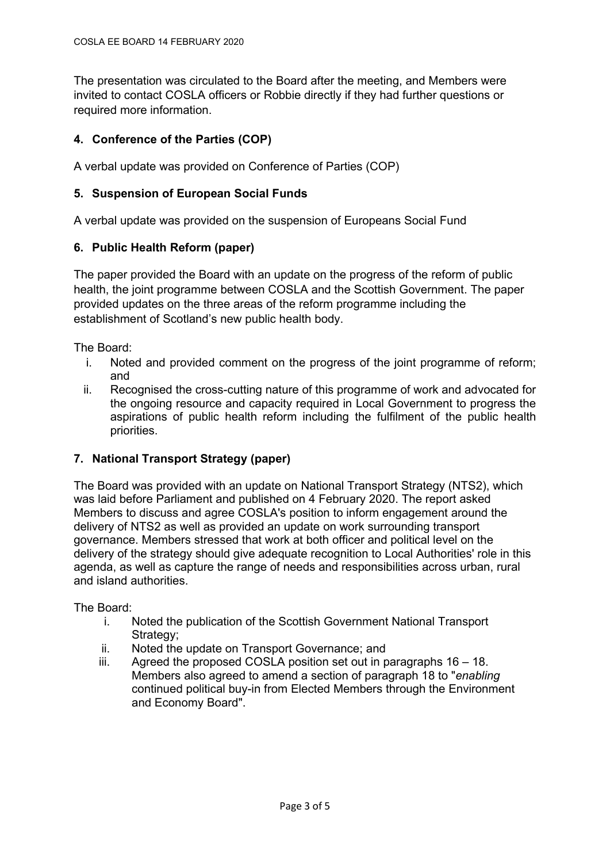The presentation was circulated to the Board after the meeting, and Members were invited to contact COSLA officers or Robbie directly if they had further questions or required more information.

# **4. Conference of the Parties (COP)**

A verbal update was provided on Conference of Parties (COP)

## **5. Suspension of European Social Funds**

A verbal update was provided on the suspension of Europeans Social Fund

### **6. Public Health Reform (paper)**

The paper provided the Board with an update on the progress of the reform of public health, the joint programme between COSLA and the Scottish Government. The paper provided updates on the three areas of the reform programme including the establishment of Scotland's new public health body.

The Board:

- i. Noted and provided comment on the progress of the joint programme of reform; and
- ii. Recognised the cross-cutting nature of this programme of work and advocated for the ongoing resource and capacity required in Local Government to progress the aspirations of public health reform including the fulfilment of the public health priorities.

## **7. National Transport Strategy (paper)**

The Board was provided with an update on National Transport Strategy (NTS2), which was laid before Parliament and published on 4 February 2020. The report asked Members to discuss and agree COSLA's position to inform engagement around the delivery of NTS2 as well as provided an update on work surrounding transport governance. Members stressed that work at both officer and political level on the delivery of the strategy should give adequate recognition to Local Authorities' role in this agenda, as well as capture the range of needs and responsibilities across urban, rural and island authorities.

The Board:

- i. Noted the publication of the Scottish Government National Transport Strategy:
- ii. Noted the update on Transport Governance; and
- iii. Agreed the proposed COSLA position set out in paragraphs 16 18. Members also agreed to amend a section of paragraph 18 to "*enabling* continued political buy-in from Elected Members through the Environment and Economy Board".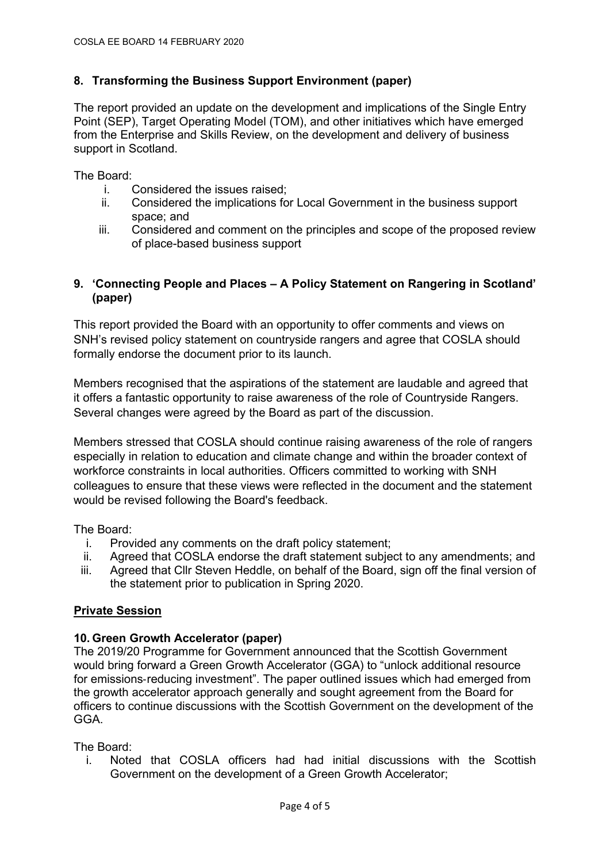## **8. Transforming the Business Support Environment (paper)**

The report provided an update on the development and implications of the Single Entry Point (SEP), Target Operating Model (TOM), and other initiatives which have emerged from the Enterprise and Skills Review, on the development and delivery of business support in Scotland.

The Board:

- i. Considered the issues raised;
- ii. Considered the implications for Local Government in the business support space; and
- iii. Considered and comment on the principles and scope of the proposed review of place-based business support

### **9. 'Connecting People and Places – A Policy Statement on Rangering in Scotland' (paper)**

This report provided the Board with an opportunity to offer comments and views on SNH's revised policy statement on countryside rangers and agree that COSLA should formally endorse the document prior to its launch.

Members recognised that the aspirations of the statement are laudable and agreed that it offers a fantastic opportunity to raise awareness of the role of Countryside Rangers. Several changes were agreed by the Board as part of the discussion.

Members stressed that COSLA should continue raising awareness of the role of rangers especially in relation to education and climate change and within the broader context of workforce constraints in local authorities. Officers committed to working with SNH colleagues to ensure that these views were reflected in the document and the statement would be revised following the Board's feedback.

The Board:

- i. Provided any comments on the draft policy statement;
- ii. Agreed that COSLA endorse the draft statement subject to any amendments; and
- iii. Agreed that Cllr Steven Heddle, on behalf of the Board, sign off the final version of the statement prior to publication in Spring 2020.

### **Private Session**

#### **10. Green Growth Accelerator (paper)**

The 2019/20 Programme for Government announced that the Scottish Government would bring forward a Green Growth Accelerator (GGA) to "unlock additional resource for emissions-reducing investment". The paper outlined issues which had emerged from the growth accelerator approach generally and sought agreement from the Board for officers to continue discussions with the Scottish Government on the development of the GGA.

The Board:

i. Noted that COSLA officers had had initial discussions with the Scottish Government on the development of a Green Growth Accelerator;